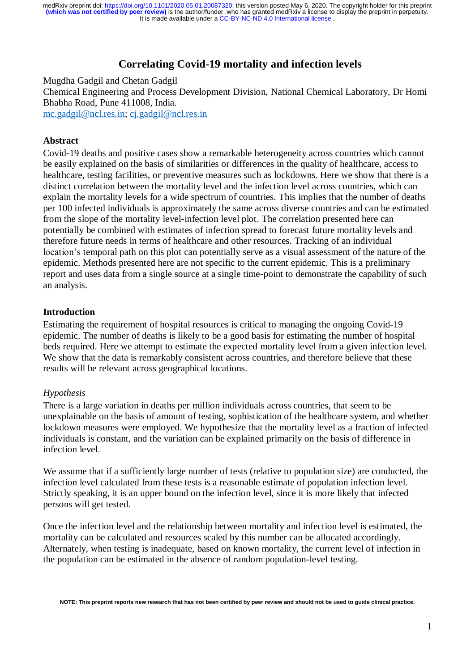It is made available under a [CC-BY-NC-ND 4.0 International license](http://creativecommons.org/licenses/by-nc-nd/4.0/) . medRxiv preprint doi: [https://doi.org/10.1101/2020.05.01.20087320;](https://doi.org/10.1101/2020.05.01.20087320) this version posted May 6, 2020. The copyright holder for this preprint<br>(which was not certified by peer review) is the author/funder, who has granted medR

# **Correlating Covid-19 mortality and infection levels**

Mugdha Gadgil and Chetan Gadgil Chemical Engineering and Process Development Division, National Chemical Laboratory, Dr Homi Bhabha Road, Pune 411008, India. [mc.gadgil@ncl.res.in;](mailto:mc.gadgil@ncl.res.in) [cj.gadgil@ncl.res.in](mailto:cj.gadgil@ncl.res.in)

### **Abstract**

Covid-19 deaths and positive cases show a remarkable heterogeneity across countries which cannot be easily explained on the basis of similarities or differences in the quality of healthcare, access to healthcare, testing facilities, or preventive measures such as lockdowns. Here we show that there is a distinct correlation between the mortality level and the infection level across countries, which can explain the mortality levels for a wide spectrum of countries. This implies that the number of deaths per 100 infected individuals is approximately the same across diverse countries and can be estimated from the slope of the mortality level-infection level plot. The correlation presented here can potentially be combined with estimates of infection spread to forecast future mortality levels and therefore future needs in terms of healthcare and other resources. Tracking of an individual location's temporal path on this plot can potentially serve as a visual assessment of the nature of the epidemic. Methods presented here are not specific to the current epidemic. This is a preliminary report and uses data from a single source at a single time-point to demonstrate the capability of such an analysis.

### **Introduction**

Estimating the requirement of hospital resources is critical to managing the ongoing Covid-19 epidemic. The number of deaths is likely to be a good basis for estimating the number of hospital beds required. Here we attempt to estimate the expected mortality level from a given infection level. We show that the data is remarkably consistent across countries, and therefore believe that these results will be relevant across geographical locations.

### *Hypothesis*

There is a large variation in deaths per million individuals across countries, that seem to be unexplainable on the basis of amount of testing, sophistication of the healthcare system, and whether lockdown measures were employed. We hypothesize that the mortality level as a fraction of infected individuals is constant, and the variation can be explained primarily on the basis of difference in infection level.

We assume that if a sufficiently large number of tests (relative to population size) are conducted, the infection level calculated from these tests is a reasonable estimate of population infection level. Strictly speaking, it is an upper bound on the infection level, since it is more likely that infected persons will get tested.

Once the infection level and the relationship between mortality and infection level is estimated, the mortality can be calculated and resources scaled by this number can be allocated accordingly. Alternately, when testing is inadequate, based on known mortality, the current level of infection in the population can be estimated in the absence of random population-level testing.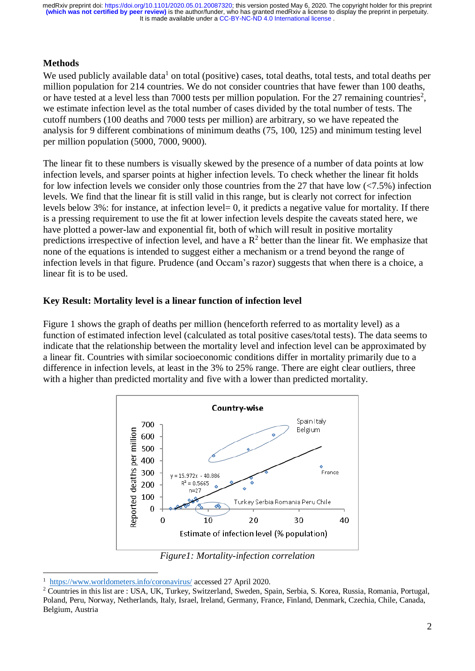It is made available under a [CC-BY-NC-ND 4.0 International license](http://creativecommons.org/licenses/by-nc-nd/4.0/) . **(which was not certified by peer review)** is the author/funder, who has granted medRxiv a license to display the preprint in perpetuity. medRxiv preprint doi: [https://doi.org/10.1101/2020.05.01.20087320;](https://doi.org/10.1101/2020.05.01.20087320) this version posted May 6, 2020. The copyright holder for this preprint

# **Methods**

We used publicly available data<sup>1</sup> on total (positive) cases, total deaths, total tests, and total deaths per million population for 214 countries. We do not consider countries that have fewer than 100 deaths, or have tested at a level less than 7000 tests per million population. For the 27 remaining countries<sup>2</sup>, we estimate infection level as the total number of cases divided by the total number of tests. The cutoff numbers (100 deaths and 7000 tests per million) are arbitrary, so we have repeated the analysis for 9 different combinations of minimum deaths (75, 100, 125) and minimum testing level per million population (5000, 7000, 9000).

The linear fit to these numbers is visually skewed by the presence of a number of data points at low infection levels, and sparser points at higher infection levels. To check whether the linear fit holds for low infection levels we consider only those countries from the 27 that have low  $\left\langle \langle 7.5\% \right\rangle$  infection levels. We find that the linear fit is still valid in this range, but is clearly not correct for infection levels below 3%: for instance, at infection level= 0, it predicts a negative value for mortality. If there is a pressing requirement to use the fit at lower infection levels despite the caveats stated here, we have plotted a power-law and exponential fit, both of which will result in positive mortality predictions irrespective of infection level, and have a  $\mathbb{R}^2$  better than the linear fit. We emphasize that none of the equations is intended to suggest either a mechanism or a trend beyond the range of infection levels in that figure. Prudence (and Occam's razor) suggests that when there is a choice, a linear fit is to be used.

### **Key Result: Mortality level is a linear function of infection level**

Figure 1 shows the graph of deaths per million (henceforth referred to as mortality level) as a function of estimated infection level (calculated as total positive cases/total tests). The data seems to indicate that the relationship between the mortality level and infection level can be approximated by a linear fit. Countries with similar socioeconomic conditions differ in mortality primarily due to a difference in infection levels, at least in the 3% to 25% range. There are eight clear outliers, three with a higher than predicted mortality and five with a lower than predicted mortality.



*Figure1: Mortality-infection correlation*

1

<sup>1</sup> <https://www.worldometers.info/coronavirus/> accessed 27 April 2020.

<sup>2</sup> Countries in this list are : USA, UK, Turkey, Switzerland, Sweden, Spain, Serbia, S. Korea, Russia, Romania, Portugal, Poland, Peru, Norway, Netherlands, Italy, Israel, Ireland, Germany, France, Finland, Denmark, Czechia, Chile, Canada, Belgium, Austria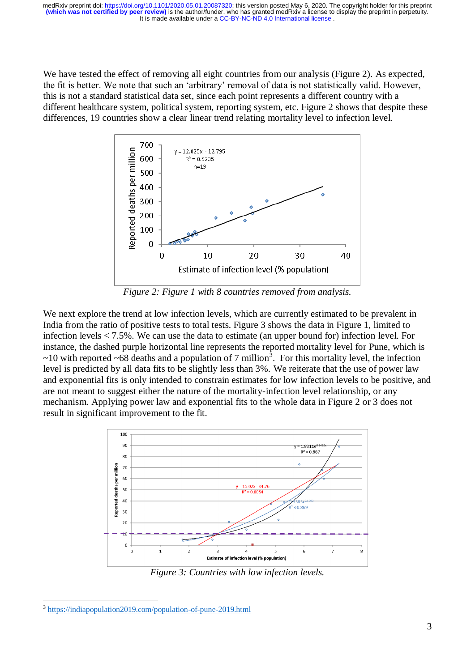It is made available under a [CC-BY-NC-ND 4.0 International license](http://creativecommons.org/licenses/by-nc-nd/4.0/) . **(which was not certified by peer review)** is the author/funder, who has granted medRxiv a license to display the preprint in perpetuity. medRxiv preprint doi: [https://doi.org/10.1101/2020.05.01.20087320;](https://doi.org/10.1101/2020.05.01.20087320) this version posted May 6, 2020. The copyright holder for this preprint

We have tested the effect of removing all eight countries from our analysis (Figure 2). As expected, the fit is better. We note that such an 'arbitrary' removal of data is not statistically valid. However, this is not a standard statistical data set, since each point represents a different country with a different healthcare system, political system, reporting system, etc. Figure 2 shows that despite these differences, 19 countries show a clear linear trend relating mortality level to infection level.



*Figure 2: Figure 1 with 8 countries removed from analysis.*

We next explore the trend at low infection levels, which are currently estimated to be prevalent in India from the ratio of positive tests to total tests. Figure 3 shows the data in Figure 1, limited to infection levels  $< 7.5\%$ . We can use the data to estimate (an upper bound for) infection level. For instance, the dashed purple horizontal line represents the reported mortality level for Pune, which is  $\sim$ 10 with reported  $\sim$  68 deaths and a population of 7 million<sup>3</sup>. For this mortality level, the infection level is predicted by all data fits to be slightly less than 3%. We reiterate that the use of power law and exponential fits is only intended to constrain estimates for low infection levels to be positive, and are not meant to suggest either the nature of the mortality-infection level relationship, or any mechanism. Applying power law and exponential fits to the whole data in Figure 2 or 3 does not result in significant improvement to the fit.



*Figure 3: Countries with low infection levels.*

1

<sup>3</sup> <https://indiapopulation2019.com/population-of-pune-2019.html>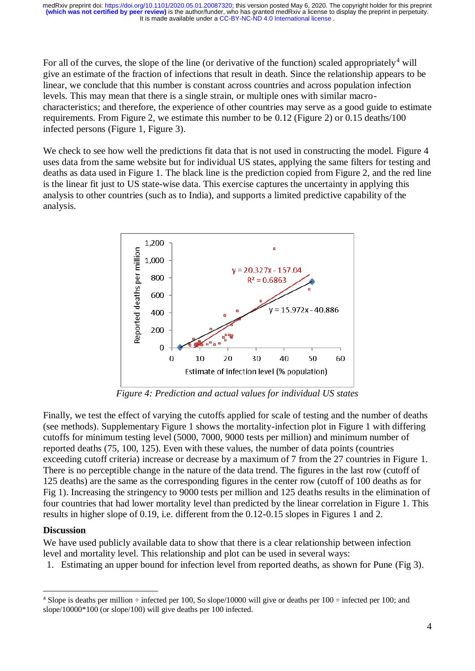It is made available under a [CC-BY-NC-ND 4.0 International license](http://creativecommons.org/licenses/by-nc-nd/4.0/) . **(which was not certified by peer review)** is the author/funder, who has granted medRxiv a license to display the preprint in perpetuity. medRxiv preprint doi: [https://doi.org/10.1101/2020.05.01.20087320;](https://doi.org/10.1101/2020.05.01.20087320) this version posted May 6, 2020. The copyright holder for this preprint

For all of the curves, the slope of the line (or derivative of the function) scaled appropriately<sup>4</sup> will give an estimate of the fraction of infections that result in death. Since the relationship appears to be linear, we conclude that this number is constant across countries and across population infection levels. This may mean that there is a single strain, or multiple ones with similar macrocharacteristics; and therefore, the experience of other countries may serve as a good guide to estimate requirements. From Figure 2, we estimate this number to be 0.12 (Figure 2) or 0.15 deaths/100 infected persons (Figure 1, Figure 3).

We check to see how well the predictions fit data that is not used in constructing the model. Figure 4 uses data from the same website but for individual US states, applying the same filters for testing and deaths as data used in Figure 1. The black line is the prediction copied from Figure 2, and the red line is the linear fit just to US state-wise data. This exercise captures the uncertainty in applying this analysis to other countries (such as to India), and supports a limited predictive capability of the analysis.



*Figure 4: Prediction and actual values for individual US states*

Finally, we test the effect of varying the cutoffs applied for scale of testing and the number of deaths (see methods). Supplementary Figure 1 shows the mortality-infection plot in Figure 1 with differing cutoffs for minimum testing level (5000, 7000, 9000 tests per million) and minimum number of reported deaths (75, 100, 125). Even with these values, the number of data points (countries exceeding cutoff criteria) increase or decrease by a maximum of 7 from the 27 countries in Figure 1. There is no perceptible change in the nature of the data trend. The figures in the last row (cutoff of 125 deaths) are the same as the corresponding figures in the center row (cutoff of 100 deaths as for Fig 1). Increasing the stringency to 9000 tests per million and 125 deaths results in the elimination of four countries that had lower mortality level than predicted by the linear correlation in Figure 1. This results in higher slope of 0.19, i.e. different from the 0.12-0.15 slopes in Figures 1 and 2.

# **Discussion**

<u>.</u>

We have used publicly available data to show that there is a clear relationship between infection level and mortality level. This relationship and plot can be used in several ways:

1. Estimating an upper bound for infection level from reported deaths, as shown for Pune (Fig 3).

<sup>&</sup>lt;sup>4</sup> Slope is deaths per million  $\div$  infected per 100, So slope/10000 will give or deaths per 100  $\div$  infected per 100; and slope/10000\*100 (or slope/100) will give deaths per 100 infected.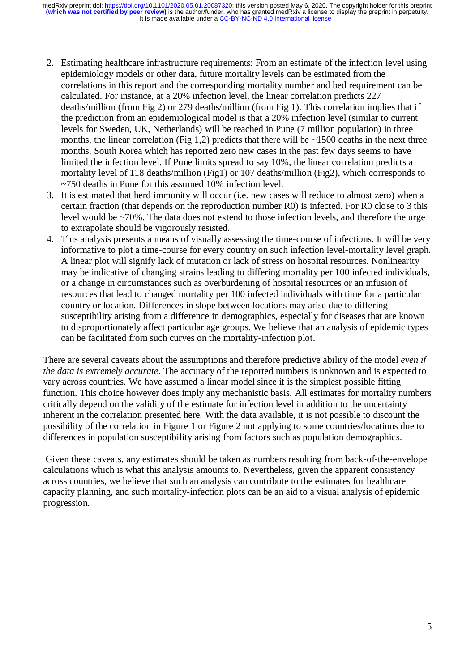- 2. Estimating healthcare infrastructure requirements: From an estimate of the infection level using epidemiology models or other data, future mortality levels can be estimated from the correlations in this report and the corresponding mortality number and bed requirement can be calculated. For instance, at a 20% infection level, the linear correlation predicts 227 deaths/million (from Fig 2) or 279 deaths/million (from Fig 1). This correlation implies that if the prediction from an epidemiological model is that a 20% infection level (similar to current levels for Sweden, UK, Netherlands) will be reached in Pune (7 million population) in three months, the linear correlation (Fig 1,2) predicts that there will be  $\sim$ 1500 deaths in the next three months. South Korea which has reported zero new cases in the past few days seems to have limited the infection level. If Pune limits spread to say 10%, the linear correlation predicts a mortality level of 118 deaths/million (Fig1) or 107 deaths/million (Fig2), which corresponds to ~750 deaths in Pune for this assumed 10% infection level.
- 3. It is estimated that herd immunity will occur (i.e. new cases will reduce to almost zero) when a certain fraction (that depends on the reproduction number R0) is infected. For R0 close to 3 this level would be ~70%. The data does not extend to those infection levels, and therefore the urge to extrapolate should be vigorously resisted.
- 4. This analysis presents a means of visually assessing the time-course of infections. It will be very informative to plot a time-course for every country on such infection level-mortality level graph. A linear plot will signify lack of mutation or lack of stress on hospital resources. Nonlinearity may be indicative of changing strains leading to differing mortality per 100 infected individuals, or a change in circumstances such as overburdening of hospital resources or an infusion of resources that lead to changed mortality per 100 infected individuals with time for a particular country or location. Differences in slope between locations may arise due to differing susceptibility arising from a difference in demographics, especially for diseases that are known to disproportionately affect particular age groups. We believe that an analysis of epidemic types can be facilitated from such curves on the mortality-infection plot.

There are several caveats about the assumptions and therefore predictive ability of the model *even if the data is extremely accurate*. The accuracy of the reported numbers is unknown and is expected to vary across countries. We have assumed a linear model since it is the simplest possible fitting function. This choice however does imply any mechanistic basis. All estimates for mortality numbers critically depend on the validity of the estimate for infection level in addition to the uncertainty inherent in the correlation presented here. With the data available, it is not possible to discount the possibility of the correlation in Figure 1 or Figure 2 not applying to some countries/locations due to differences in population susceptibility arising from factors such as population demographics.

Given these caveats, any estimates should be taken as numbers resulting from back-of-the-envelope calculations which is what this analysis amounts to. Nevertheless, given the apparent consistency across countries, we believe that such an analysis can contribute to the estimates for healthcare capacity planning, and such mortality-infection plots can be an aid to a visual analysis of epidemic progression.